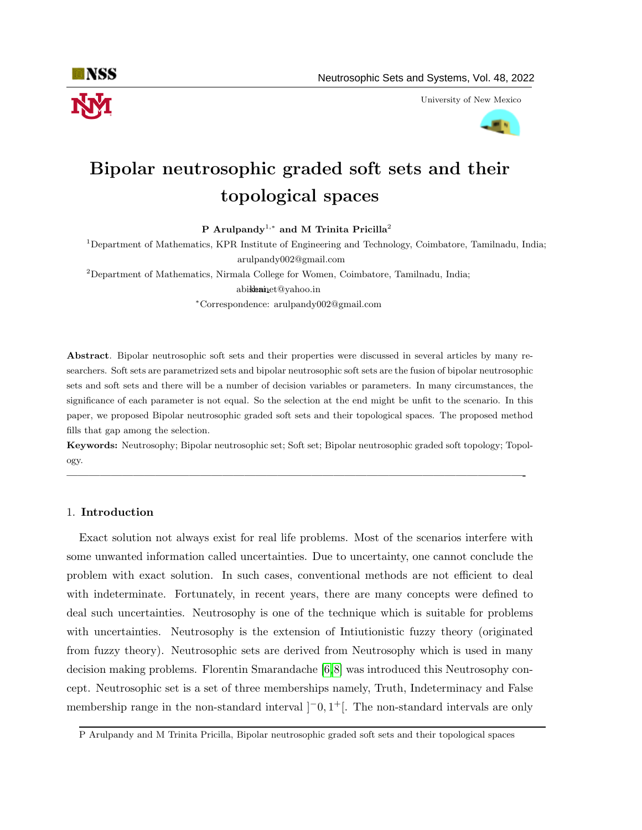

University of New Mexico



# Bipolar neutrosophic graded soft sets and their topological spaces

P Arulpandy<sup>1,\*</sup> and M Trinita Pricilla<sup>2</sup>

<sup>1</sup>Department of Mathematics, KPR Institute of Engineering and Technology, Coimbatore, Tamilnadu, India; arulpandy002@gmail.com

<sup>2</sup>Department of Mathematics, Nirmala College for Women, Coimbatore, Tamilnadu, India; abishainet@yahoo.in

<sup>∗</sup>Correspondence: arulpandy002@gmail.com

Abstract. Bipolar neutrosophic soft sets and their properties were discussed in several articles by many researchers. Soft sets are parametrized sets and bipolar neutrosophic soft sets are the fusion of bipolar neutrosophic sets and soft sets and there will be a number of decision variables or parameters. In many circumstances, the significance of each parameter is not equal. So the selection at the end might be unfit to the scenario. In this paper, we proposed Bipolar neutrosophic graded soft sets and their topological spaces. The proposed method fills that gap among the selection.

Keywords: Neutrosophy; Bipolar neutrosophic set; Soft set; Bipolar neutrosophic graded soft topology; Topology.

—————————————————————————————————————————-

## 1. Introduction

Exact solution not always exist for real life problems. Most of the scenarios interfere with some unwanted information called uncertainties. Due to uncertainty, one cannot conclude the problem with exact solution. In such cases, conventional methods are not efficient to deal with indeterminate. Fortunately, in recent years, there are many concepts were defined to deal such uncertainties. Neutrosophy is one of the technique which is suitable for problems with uncertainties. Neutrosophy is the extension of Intiutionistic fuzzy theory (originated from fuzzy theory). Neutrosophic sets are derived from Neutrosophy which is used in many decision making problems. Florentin Smarandache [\[6,](#page-16-0)[8\]](#page-16-1) was introduced this Neutrosophy concept. Neutrosophic set is a set of three memberships namely, Truth, Indeterminacy and False membership range in the non-standard interval  $]$ <sup>-</sup>0,1<sup>+</sup>[. The non-standard intervals are only

P Arulpandy and M Trinita Pricilla, Bipolar neutrosophic graded soft sets and their topological spaces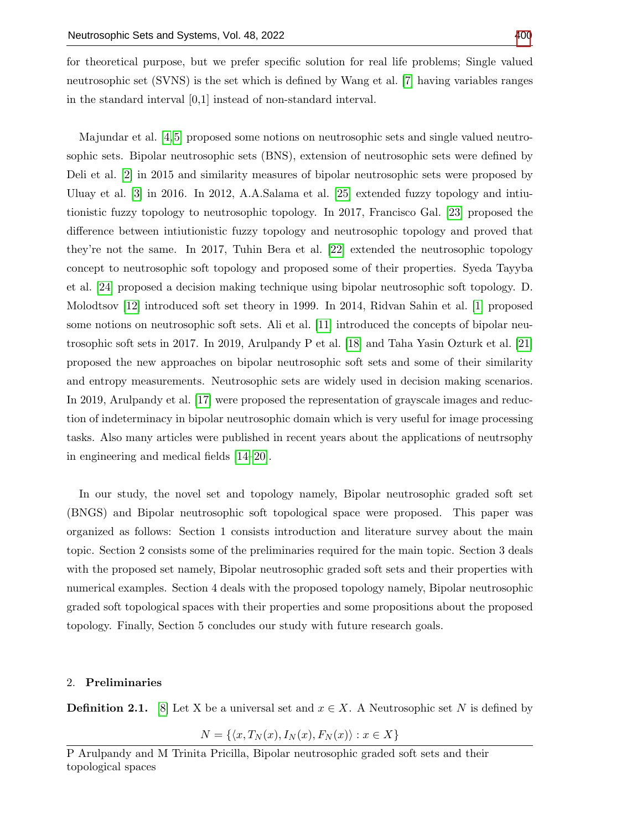for theoretical purpose, but we prefer specific solution for real life problems; Single valued neutrosophic set (SVNS) is the set which is defined by Wang et al. [\[7\]](#page-16-2) having variables ranges in the standard interval [0,1] instead of non-standard interval.

Majundar et al. [\[4,](#page-16-3) [5\]](#page-16-4) proposed some notions on neutrosophic sets and single valued neutrosophic sets. Bipolar neutrosophic sets (BNS), extension of neutrosophic sets were defined by Deli et al. [\[2\]](#page-15-0) in 2015 and similarity measures of bipolar neutrosophic sets were proposed by Uluay et al. [\[3\]](#page-15-1) in 2016. In 2012, A.A.Salama et al. [\[25\]](#page-17-1) extended fuzzy topology and intiutionistic fuzzy topology to neutrosophic topology. In 2017, Francisco Gal. [\[23\]](#page-16-5) proposed the difference between intiutionistic fuzzy topology and neutrosophic topology and proved that they're not the same. In 2017, Tuhin Bera et al. [\[22\]](#page-16-6) extended the neutrosophic topology concept to neutrosophic soft topology and proposed some of their properties. Syeda Tayyba et al. [\[24\]](#page-16-7) proposed a decision making technique using bipolar neutrosophic soft topology. D. Molodtsov [\[12\]](#page-16-8) introduced soft set theory in 1999. In 2014, Ridvan Sahin et al. [\[1\]](#page-15-2) proposed some notions on neutrosophic soft sets. Ali et al. [\[11\]](#page-16-9) introduced the concepts of bipolar neutrosophic soft sets in 2017. In 2019, Arulpandy P et al. [\[18\]](#page-16-10) and Taha Yasin Ozturk et al. [\[21\]](#page-16-11) proposed the new approaches on bipolar neutrosophic soft sets and some of their similarity and entropy measurements. Neutrosophic sets are widely used in decision making scenarios. In 2019, Arulpandy et al. [\[17\]](#page-16-12) were proposed the representation of grayscale images and reduction of indeterminacy in bipolar neutrosophic domain which is very useful for image processing tasks. Also many articles were published in recent years about the applications of neutrsophy in engineering and medical fields [\[14–](#page-16-13)[20\]](#page-16-14).

In our study, the novel set and topology namely, Bipolar neutrosophic graded soft set (BNGS) and Bipolar neutrosophic soft topological space were proposed. This paper was organized as follows: Section 1 consists introduction and literature survey about the main topic. Section 2 consists some of the preliminaries required for the main topic. Section 3 deals with the proposed set namely, Bipolar neutrosophic graded soft sets and their properties with numerical examples. Section 4 deals with the proposed topology namely, Bipolar neutrosophic graded soft topological spaces with their properties and some propositions about the proposed topology. Finally, Section 5 concludes our study with future research goals.

#### 2. Preliminaries

**Definition 2.1.** [\[8\]](#page-16-1) Let X be a universal set and  $x \in X$ . A Neutrosophic set N is defined by

$$
N = \{ \langle x, T_N(x), I_N(x), F_N(x) \rangle : x \in X \}
$$

P Arulpandy and M Trinita Pricilla, Bipolar neutrosophic graded soft sets and their topological spaces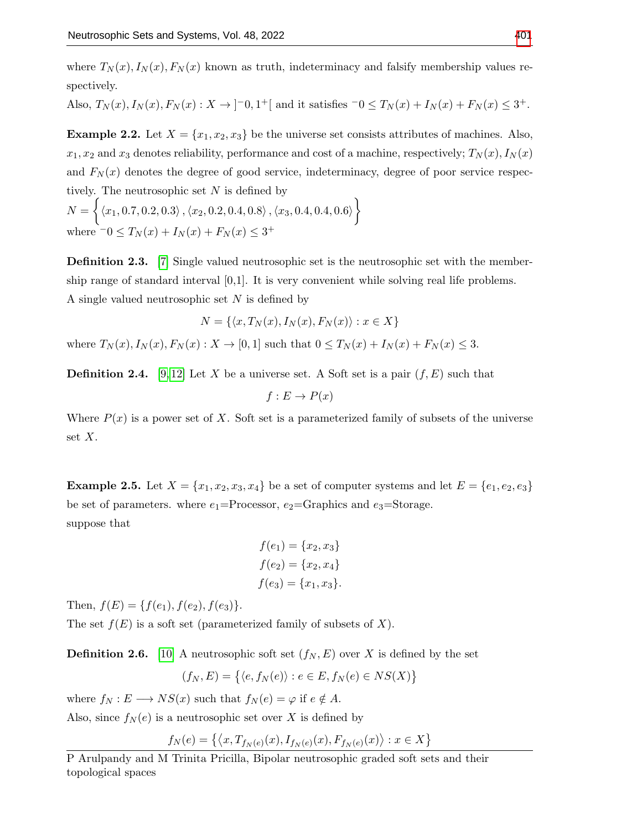where  $T_N(x)$ ,  $I_N(x)$ ,  $F_N(x)$  known as truth, indeterminacy and falsify membership values respectively.

Also,  $T_N(x)$ ,  $I_N(x)$ ,  $F_N(x)$ :  $X \to ]-0,1^+[$  and it satisfies  $-0 \le T_N(x) + I_N(x) + F_N(x) \le 3^+$ .

**Example 2.2.** Let  $X = \{x_1, x_2, x_3\}$  be the universe set consists attributes of machines. Also,  $x_1, x_2$  and  $x_3$  denotes reliability, performance and cost of a machine, respectively;  $T_N(x)$ ,  $I_N(x)$ and  $F_N(x)$  denotes the degree of good service, indeterminacy, degree of poor service respectively. The neutrosophic set  $N$  is defined by  $N = \big\{ \langle x_1, 0.7, 0.2, 0.3 \rangle\,, \langle x_2, 0.2, 0.4, 0.8 \rangle\,, \langle x_3, 0.4, 0.4, 0.6 \rangle \big\}$ 

where  $-0 \le T_N(x) + I_N(x) + F_N(x) \le 3^+$ 

**Definition 2.3.** [\[7\]](#page-16-2) Single valued neutrosophic set is the neutrosophic set with the membership range of standard interval  $[0,1]$ . It is very convenient while solving real life problems. A single valued neutrosophic set  $N$  is defined by

$$
N = \{ \langle x, T_N(x), I_N(x), F_N(x) \rangle : x \in X \}
$$

where  $T_N(x)$ ,  $I_N(x)$ ,  $F_N(x)$ :  $X \to [0, 1]$  such that  $0 \le T_N(x) + I_N(x) + F_N(x) \le 3$ .

**Definition 2.4.** [\[9,](#page-16-15) [12\]](#page-16-8) Let X be a universe set. A Soft set is a pair  $(f, E)$  such that

$$
f: E \to P(x)
$$

Where  $P(x)$  is a power set of X. Soft set is a parameterized family of subsets of the universe set  $X$ .

**Example 2.5.** Let  $X = \{x_1, x_2, x_3, x_4\}$  be a set of computer systems and let  $E = \{e_1, e_2, e_3\}$ be set of parameters. where  $e_1$ =Processor,  $e_2$ =Graphics and  $e_3$ =Storage. suppose that

$$
f(e_1) = \{x_2, x_3\}
$$
  

$$
f(e_2) = \{x_2, x_4\}
$$
  

$$
f(e_3) = \{x_1, x_3\}.
$$

Then,  $f(E) = \{f(e_1), f(e_2), f(e_3)\}.$ 

The set  $f(E)$  is a soft set (parameterized family of subsets of X).

**Definition 2.6.** [\[10\]](#page-16-16) A neutrosophic soft set  $(f_N, E)$  over X is defined by the set

$$
(f_N, E) = \{ \langle e, f_N(e) \rangle : e \in E, f_N(e) \in NS(X) \}
$$

where  $f_N : E \longrightarrow NS(x)$  such that  $f_N(e) = \varphi$  if  $e \notin A$ .

Also, since  $f_N(e)$  is a neutrosophic set over X is defined by

$$
f_N(e) = \{ \langle x, T_{f_N(e)}(x), I_{f_N(e)}(x), F_{f_N(e)}(x) \rangle : x \in X \}
$$

P Arulpandy and M Trinita Pricilla, Bipolar neutrosophic graded soft sets and their topological spaces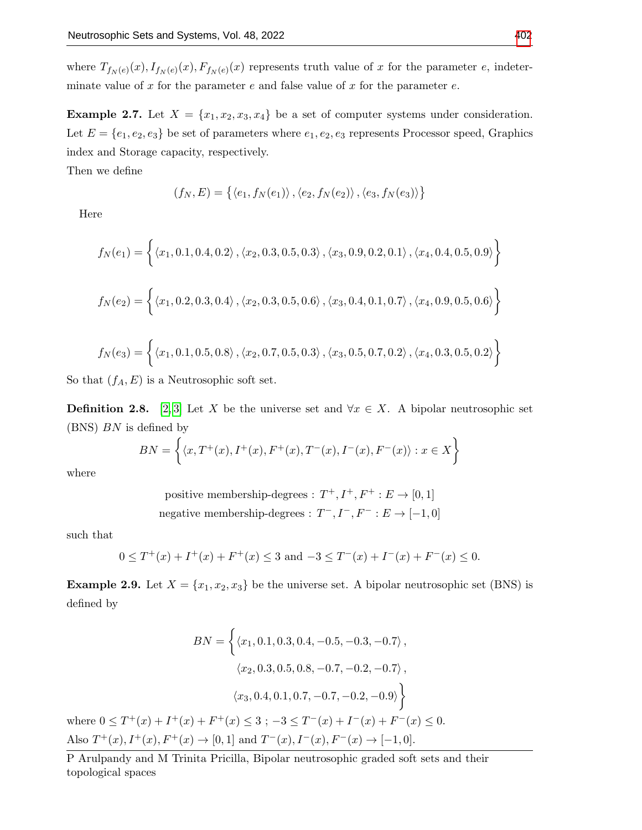where  $T_{f_N(e)}(x)$ ,  $I_{f_N(e)}(x)$ ,  $F_{f_N(e)}(x)$  represents truth value of x for the parameter e, indeterminate value of  $x$  for the parameter  $e$  and false value of  $x$  for the parameter  $e$ .

**Example 2.7.** Let  $X = \{x_1, x_2, x_3, x_4\}$  be a set of computer systems under consideration. Let  $E = \{e_1, e_2, e_3\}$  be set of parameters where  $e_1, e_2, e_3$  represents Processor speed, Graphics index and Storage capacity, respectively.

Then we define

$$
(f_N, E) = \{ \langle e_1, f_N(e_1) \rangle, \langle e_2, f_N(e_2) \rangle, \langle e_3, f_N(e_3) \rangle \}
$$

Here

$$
f_N(e_1) = \left\{ \langle x_1, 0.1, 0.4, 0.2 \rangle, \langle x_2, 0.3, 0.5, 0.3 \rangle, \langle x_3, 0.9, 0.2, 0.1 \rangle, \langle x_4, 0.4, 0.5, 0.9 \rangle \right\}
$$
  

$$
f_N(e_2) = \left\{ \langle x_1, 0.2, 0.3, 0.4 \rangle, \langle x_2, 0.3, 0.5, 0.6 \rangle, \langle x_3, 0.4, 0.1, 0.7 \rangle, \langle x_4, 0.9, 0.5, 0.6 \rangle \right\}
$$
  

$$
f_N(e_3) = \left\{ \langle x_1, 0.1, 0.5, 0.8 \rangle, \langle x_2, 0.7, 0.5, 0.3 \rangle, \langle x_3, 0.5, 0.7, 0.2 \rangle, \langle x_4, 0.3, 0.5, 0.2 \rangle \right\}
$$

So that  $(f_A, E)$  is a Neutrosophic soft set.

**Definition 2.8.** [\[2,](#page-15-0)3] Let X be the universe set and  $\forall x \in X$ . A bipolar neutrosophic set  $(BNS)$  BN is defined by

$$
BN = \left\{ \langle x, T^+(x), I^+(x), F^+(x), T^-(x), I^-(x), F^-(x) \rangle : x \in X \right\}
$$

where

positive membership-degrees :  $T^+, I^+, F^+ : E \to [0, 1]$ negative membership-degrees :  $T^-, I^-, F^- : E \rightarrow [-1,0]$ 

such that

$$
0 \le T^+(x) + I^+(x) + F^+(x) \le 3 \text{ and } -3 \le T^-(x) + I^-(x) + F^-(x) \le 0.
$$

**Example 2.9.** Let  $X = \{x_1, x_2, x_3\}$  be the universe set. A bipolar neutrosophic set (BNS) is defined by

$$
BN = \left\{ \langle x_1, 0.1, 0.3, 0.4, -0.5, -0.3, -0.7 \rangle, \langle x_2, 0.3, 0.5, 0.8, -0.7, -0.2, -0.7 \rangle, \langle x_3, 0.4, 0.1, 0.7, -0.7, -0.2, -0.9 \rangle \right\}
$$
  
where  $0 \le T^+(x) + I^+(x) + F^+(x) \le 3$ ;  $-3 \le T^-(x) + I^-(x) + F^-(x) \le 0$ .  
Also  $T^+(x), I^+(x), F^+(x) \to [0, 1]$  and  $T^-(x), I^-(x), F^-(x) \to [-1, 0]$ .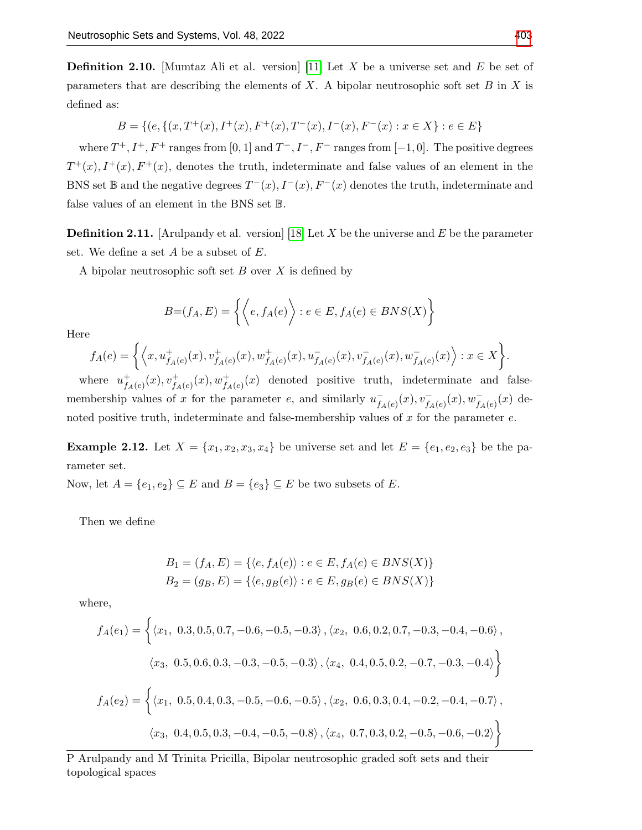**Definition 2.10.** [Mumtaz Ali et al. version] [\[11\]](#page-16-9) Let X be a universe set and E be set of parameters that are describing the elements of  $X$ . A bipolar neutrosophic soft set  $B$  in  $X$  is defined as:

$$
B = \{ (e, \{ (x, T^+(x), I^+(x), F^+(x), T^-(x), I^-(x), F^-(x) : x \in X \} : e \in E \}
$$

where  $T^+, I^+, F^+$  ranges from [0, 1] and  $T^-, I^-, F^-$  ranges from [-1, 0]. The positive degrees  $T^+(x)$ ,  $I^+(x)$ ,  $F^+(x)$ , denotes the truth, indeterminate and false values of an element in the BNS set  $\mathbb B$  and the negative degrees  $T^-(x)$ ,  $I^-(x)$ ,  $F^-(x)$  denotes the truth, indeterminate and false values of an element in the BNS set B.

**Definition 2.11.** [Arulpandy et al. version] [\[18\]](#page-16-10) Let X be the universe and E be the parameter set. We define a set  $A$  be a subset of  $E$ .

A bipolar neutrosophic soft set  $B$  over  $X$  is defined by

$$
B=(f_A, E) = \left\{ \left\langle e, f_A(e) \right\rangle : e \in E, f_A(e) \in BNS(X) \right\}
$$

Here

$$
f_A(e) = \left\{ \left\langle x, u_{f_A(e)}^+(x), v_{f_A(e)}^+(x), w_{f_A(e)}^+(x), u_{f_A(e)}^-(x), v_{f_A(e)}^-(x), w_{f_A(e)}^-(x) \right\rangle : x \in X \right\}.
$$

where  $u_f^+$  $f_{A(e)}^+(x), v_{f_A(e)}^+(x), w_{f_A(e)}^+(x)$  denoted positive truth, indeterminate and falsemembership values of x for the parameter e, and similarly  $u_t$  $\overline{f_{A}(e)}(x), \overline{v_{f_A(e)}(x)}, \overline{w_{f_A(e)}(x)}$  denoted positive truth, indeterminate and false-membership values of  $x$  for the parameter  $e$ .

**Example 2.12.** Let  $X = \{x_1, x_2, x_3, x_4\}$  be universe set and let  $E = \{e_1, e_2, e_3\}$  be the parameter set.

Now, let  $A = \{e_1, e_2\} \subseteq E$  and  $B = \{e_3\} \subseteq E$  be two subsets of E.

Then we define

$$
B_1 = (f_A, E) = \{ \langle e, f_A(e) \rangle : e \in E, f_A(e) \in BNS(X) \}
$$
  

$$
B_2 = (g_B, E) = \{ \langle e, g_B(e) \rangle : e \in E, g_B(e) \in BNS(X) \}
$$

where,

$$
f_A(e_1) = \left\{ \langle x_1, 0.3, 0.5, 0.7, -0.6, -0.5, -0.3 \rangle, \langle x_2, 0.6, 0.2, 0.7, -0.3, -0.4, -0.6 \rangle, \right\}
$$
  

$$
\langle x_3, 0.5, 0.6, 0.3, -0.3, -0.5, -0.3 \rangle, \langle x_4, 0.4, 0.5, 0.2, -0.7, -0.3, -0.4 \rangle \right\}
$$
  

$$
f_A(e_2) = \left\{ \langle x_1, 0.5, 0.4, 0.3, -0.5, -0.6, -0.5 \rangle, \langle x_2, 0.6, 0.3, 0.4, -0.2, -0.4, -0.7 \rangle, \right\}
$$
  

$$
\langle x_3, 0.4, 0.5, 0.3, -0.4, -0.5, -0.8 \rangle, \langle x_4, 0.7, 0.3, 0.2, -0.5, -0.6, -0.2 \rangle \right\}
$$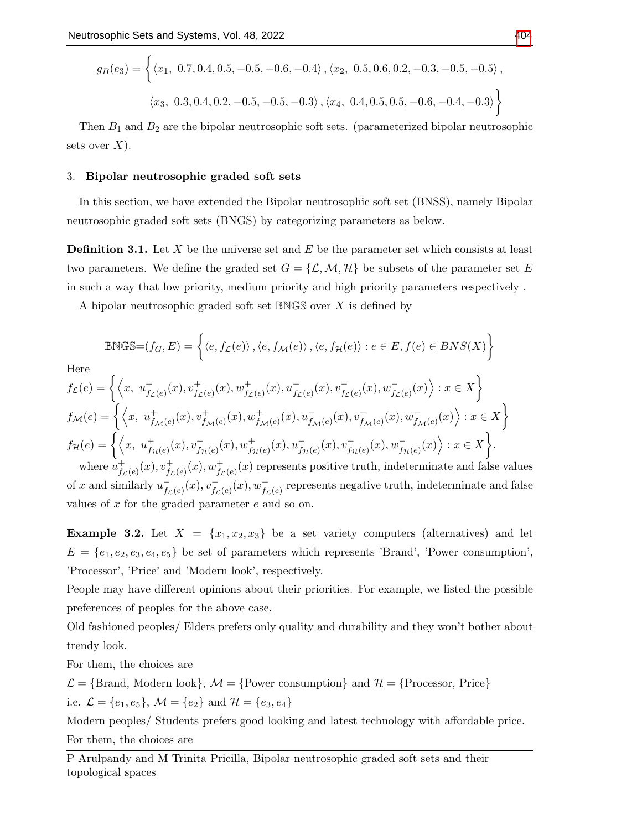$$
g_B(e_3) = \left\{ \langle x_1, 0.7, 0.4, 0.5, -0.5, -0.6, -0.4 \rangle, \langle x_2, 0.5, 0.6, 0.2, -0.3, -0.5, -0.5 \rangle, \langle x_3, 0.3, 0.4, 0.2, -0.5, -0.5, -0.3 \rangle, \langle x_4, 0.4, 0.5, 0.5, -0.6, -0.4, -0.3 \rangle \right\}
$$

Then  $B_1$  and  $B_2$  are the bipolar neutrosophic soft sets. (parameterized bipolar neutrosophic sets over  $X$ ).

## 3. Bipolar neutrosophic graded soft sets

In this section, we have extended the Bipolar neutrosophic soft set (BNSS), namely Bipolar neutrosophic graded soft sets (BNGS) by categorizing parameters as below.

**Definition 3.1.** Let  $X$  be the universe set and  $E$  be the parameter set which consists at least two parameters. We define the graded set  $G = \{L, M, H\}$  be subsets of the parameter set E in such a way that low priority, medium priority and high priority parameters respectively .

A bipolar neutrosophic graded soft set BNGS over X is defined by

$$
\begin{aligned} \mathbb{BNGS} {=} & (f_G,E) = \left\{ \left\langle e,f_{\mathcal{L}}(e) \right\rangle, \left\langle e,f_{\mathcal{M}}(e) \right\rangle, \left\langle e,f_{\mathcal{H}}(e) \right\rangle : e \in E, f(e) \in BNS(X) \right\} \\ \text{Here} \\ & f_{\mathcal{L}}(e) = \left\{ \left\langle x, \ u^+_{f_{\mathcal{L}}(e)}(x), v^+_{f_{\mathcal{L}}(e)}(x), w^+_{f_{\mathcal{L}}(e)}(x), v^-_{f_{\mathcal{L}}(e)}(x), w^-_{f_{\mathcal{L}}(e)}(x) \right\rangle : x \in X \right\} \\ & f_{\mathcal{M}}(e) = \left\{ \left\langle x, \ u^+_{f_{\mathcal{M}}(e)}(x), v^+_{f_{\mathcal{M}}(e)}(x), w^+_{f_{\mathcal{M}}(e)}(x), v^-_{f_{\mathcal{M}}(e)}(x), v^-_{f_{\mathcal{M}}(e)}(x), w^-_{f_{\mathcal{M}}(e)}(x) \right\rangle : x \in X \right\} \end{aligned}
$$

$$
f_{\mathcal{H}}(e) = \left\{ \left\langle x, u_{f_{\mathcal{H}}(e)}^+(x), v_{f_{\mathcal{H}}(e)}^+(x), w_{f_{\mathcal{H}}(e)}^+(x), u_{f_{\mathcal{H}}(e)}^-(x), v_{f_{\mathcal{H}}(e)}^-(x), v_{f_{\mathcal{H}}(e)}^-(x), w_{f_{\mathcal{H}}(e)}^-(x) \right\rangle : x \in X \right\}.
$$
  
where  $u_{f_{\mathcal{H}}(e)}^+(x), v_{f_{\mathcal{H}}(e)}^+(x), w_{f_{\mathcal{H}}(e)}^+(x)$  represents positive truth, indeterminate and false v

 $f_{\mathcal{L}(e)}^+(x), v_{f_{\mathcal{L}}(e)}^+(x), w_{f_{\mathcal{L}}(e)}^+(x)$  represents positive truth, indeterminate and false values of x and similarly  $u_t^$  $f_{\mathcal{L}(e)}(x), v_{f_{\mathcal{L}}(e)}^-(x), w_{f_{\mathcal{L}}(e)}^-$  represents negative truth, indeterminate and false values of  $x$  for the graded parameter  $e$  and so on.

**Example 3.2.** Let  $X = \{x_1, x_2, x_3\}$  be a set variety computers (alternatives) and let  $E = \{e_1, e_2, e_3, e_4, e_5\}$  be set of parameters which represents 'Brand', 'Power consumption', 'Processor', 'Price' and 'Modern look', respectively.

People may have different opinions about their priorities. For example, we listed the possible preferences of peoples for the above case.

Old fashioned peoples/ Elders prefers only quality and durability and they won't bother about trendy look.

For them, the choices are

 $\mathcal{L} = \{ \text{Brand, Modern look} \}, \mathcal{M} = \{ \text{Power consumption} \}$  and  $\mathcal{H} = \{ \text{Processor, Price} \}$ i.e.  $\mathcal{L} = \{e_1, e_5\}$ ,  $\mathcal{M} = \{e_2\}$  and  $\mathcal{H} = \{e_3, e_4\}$ 

Modern peoples/ Students prefers good looking and latest technology with affordable price. For them, the choices are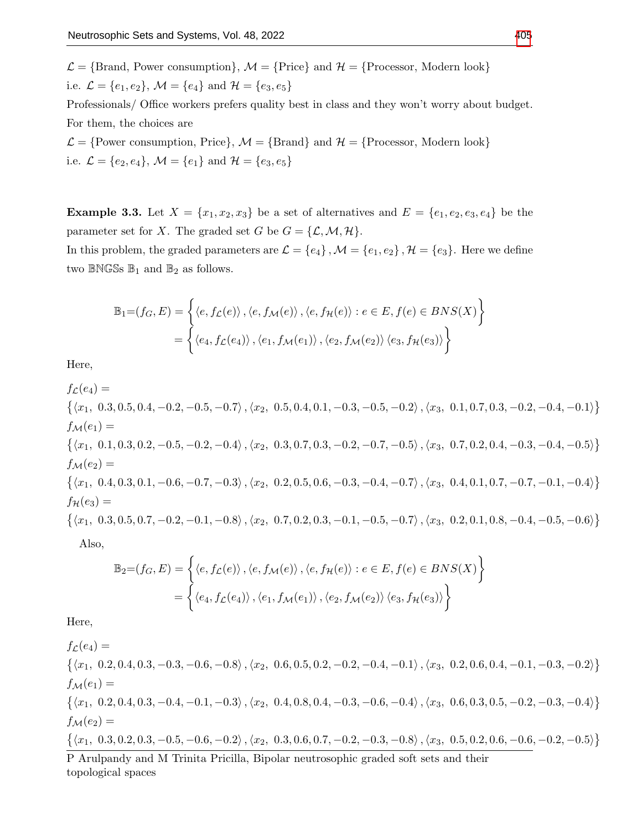$\mathcal{L} = \{\text{Brand}, \text{ Power consumption}\}, \mathcal{M} = \{\text{Price}\} \text{ and } \mathcal{H} = \{\text{Processor}, \text{ Modern look}\}$ i.e.  $\mathcal{L} = \{e_1, e_2\}, \mathcal{M} = \{e_4\}$  and  $\mathcal{H} = \{e_3, e_5\}$ 

Professionals/ Office workers prefers quality best in class and they won't worry about budget. For them, the choices are

 $\mathcal{L} = \{\text{Power consumption}, \text{Price}\}, \mathcal{M} = \{\text{Brand}\}\$ and  $\mathcal{H} = \{\text{Processor}, \text{Modern look}\}\$ i.e.  $\mathcal{L} = \{e_2, e_4\}, \mathcal{M} = \{e_1\}$  and  $\mathcal{H} = \{e_3, e_5\}$ 

<span id="page-6-0"></span>**Example 3.3.** Let  $X = \{x_1, x_2, x_3\}$  be a set of alternatives and  $E = \{e_1, e_2, e_3, e_4\}$  be the parameter set for X. The graded set G be  $G = \{L, M, H\}.$ 

In this problem, the graded parameters are  $\mathcal{L} = \{e_4\}$ ,  $\mathcal{M} = \{e_1, e_2\}$ ,  $\mathcal{H} = \{e_3\}$ . Here we define two  $\mathbb{B}\text{NGSS} \mathbb{B}_1$  and  $\mathbb{B}_2$  as follows.

$$
\mathbb{B}_1 = (f_G, E) = \left\{ \langle e, f_{\mathcal{L}}(e) \rangle, \langle e, f_{\mathcal{M}}(e) \rangle, \langle e, f_{\mathcal{H}}(e) \rangle : e \in E, f(e) \in BNS(X) \right\}
$$

$$
= \left\{ \langle e_4, f_{\mathcal{L}}(e_4) \rangle, \langle e_1, f_{\mathcal{M}}(e_1) \rangle, \langle e_2, f_{\mathcal{M}}(e_2) \rangle \langle e_3, f_{\mathcal{H}}(e_3) \rangle \right\}
$$

Here,

 $f_{\mathcal{L}}(e_4) =$  $\{\langle x_1, 0.3, 0.5, 0.4, -0.2, -0.5, -0.7\rangle, \langle x_2, 0.5, 0.4, 0.1, -0.3, -0.5, -0.2\rangle, \langle x_3, 0.1, 0.7, 0.3, -0.2, -0.4, -0.1\rangle\}$  $f_{\mathcal{M}}(e_1) =$  $\{\langle x_1, 0.1, 0.3, 0.2, -0.5, -0.2, -0.4\rangle, \langle x_2, 0.3, 0.7, 0.3, -0.2, -0.7, -0.5\rangle, \langle x_3, 0.7, 0.2, 0.4, -0.3, -0.4, -0.5\rangle\}$  $f_{\mathcal{M}}(e_2) =$  $\{\langle x_1, 0.4, 0.3, 0.1, -0.6, -0.7, -0.3\rangle, \langle x_2, 0.2, 0.5, 0.6, -0.3, -0.4, -0.7\rangle, \langle x_3, 0.4, 0.1, 0.7, -0.7, -0.1, -0.4\rangle\}$  $f_{\mathcal{H}}(e_3) =$  $\{\langle x_1, 0.3, 0.5, 0.7, -0.2, -0.1, -0.8\rangle, \langle x_2, 0.7, 0.2, 0.3, -0.1, -0.5, -0.7\rangle, \langle x_3, 0.2, 0.1, 0.8, -0.4, -0.5, -0.6\rangle\}$ Also,

$$
\mathbb{B}_2 = (f_G, E) = \left\{ \langle e, f_{\mathcal{L}}(e) \rangle, \langle e, f_{\mathcal{M}}(e) \rangle, \langle e, f_{\mathcal{H}}(e) \rangle : e \in E, f(e) \in BNS(X) \right\}
$$

$$
= \left\{ \langle e_4, f_{\mathcal{L}}(e_4) \rangle, \langle e_1, f_{\mathcal{M}}(e_1) \rangle, \langle e_2, f_{\mathcal{M}}(e_2) \rangle \langle e_3, f_{\mathcal{H}}(e_3) \rangle \right\}
$$

Here,

 $f_{\mathcal{L}}(e_4) =$  $\{\langle x_1, 0.2, 0.4, 0.3, -0.3, -0.6, -0.8\rangle, \langle x_2, 0.6, 0.5, 0.2, -0.2, -0.4, -0.1\rangle, \langle x_3, 0.2, 0.6, 0.4, -0.1, -0.3, -0.2\rangle\}$  $f_{\mathcal{M}}(e_1) =$  $\{\langle x_1, 0.2, 0.4, 0.3, -0.4, -0.1, -0.3\rangle, \langle x_2, 0.4, 0.8, 0.4, -0.3, -0.6, -0.4\rangle, \langle x_3, 0.6, 0.3, 0.5, -0.2, -0.3, -0.4\rangle\}$  $f_{\mathcal{M}}(e_2) =$  $\{\langle x_1, 0.3, 0.2, 0.3, -0.5, -0.6, -0.2\rangle, \langle x_2, 0.3, 0.6, 0.7, -0.2, -0.3, -0.8\rangle, \langle x_3, 0.5, 0.2, 0.6, -0.6, -0.2, -0.5\rangle\}$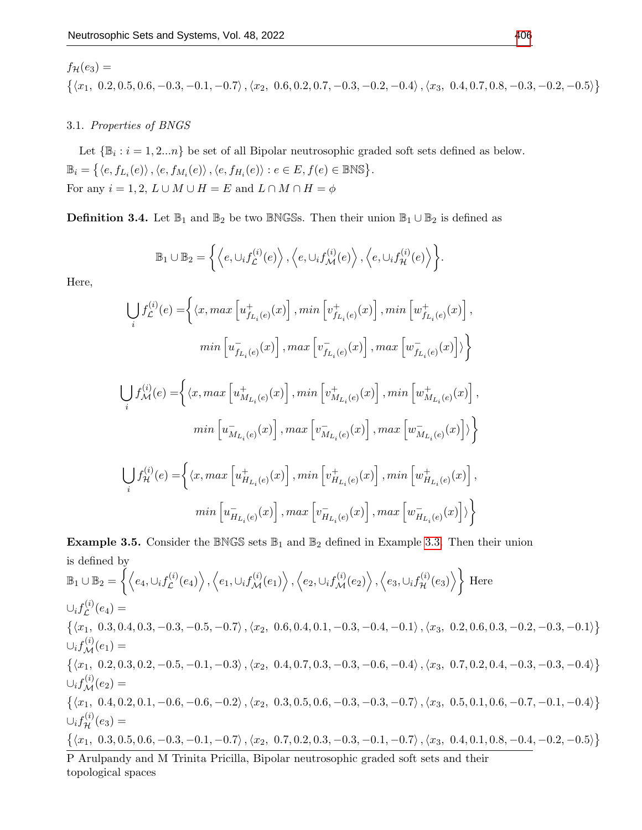$$
f_{\mathcal{H}}(e_3) =
$$

 $\{\langle x_1, 0.2, 0.5, 0.6, -0.3, -0.1, -0.7\rangle, \langle x_2, 0.6, 0.2, 0.7, -0.3, -0.2, -0.4\rangle, \langle x_3, 0.4, 0.7, 0.8, -0.3, -0.2, -0.5\rangle\}$ 

## 3.1. Properties of BNGS

Let  $\{\mathbb{B}_i : i = 1, 2...n\}$  be set of all Bipolar neutrosophic graded soft sets defined as below.  $\mathbb{B}_i = \left\{ \langle e, f_{L_i}(e) \rangle, \langle e, f_{M_i}(e) \rangle, \langle e, f_{H_i}(e) \rangle : e \in E, f(e) \in \mathbb{BNS} \right\}.$ For any  $i = 1, 2, L \cup M \cup H = E$  and  $L \cap M \cap H = \phi$ 

**Definition 3.4.** Let  $\mathbb{B}_1$  and  $\mathbb{B}_2$  be two BNGSs. Then their union  $\mathbb{B}_1 \cup \mathbb{B}_2$  is defined as

$$
\mathbb{B}_1 \cup \mathbb{B}_2 = \left\{ \left\langle e, \cup_i f_{\mathcal{L}}^{(i)}(e) \right\rangle, \left\langle e, \cup_i f_{\mathcal{M}}^{(i)}(e) \right\rangle, \left\langle e, \cup_i f_{\mathcal{H}}^{(i)}(e) \right\rangle \right\}.
$$

Here,

[ i f (i) L (e) = hx, max h u + fLi (e) (x) i , min h v + fLi (e) (x) i , min h w + fLi (e) (x) i , min h u − fLi (e) (x) i , max h v − fLi (e) (x) i , max h w − fLi (e) (x) i i [ i f (i) M(e) = hx, max h u + MLi (e) (x) i , min h v + MLi (e) (x) i , min h w + MLi (e) (x) i , min h u − MLi (e) (x) i , max h v − MLi (e) (x) i , max h w − MLi (e) (x) i i [ i f (i) <sup>H</sup> (e) = hx, max h u + HLi (e) (x) i , min h v + HLi (e) (x) i , min h w + HLi (e) (x) i , min h u − HLi (e) (x) i , max h v − HLi (e) (x) i , max h w − HLi (e) (x) i i 

**Example 3.5.** Consider the BNGS sets  $\mathbb{B}_1$  and  $\mathbb{B}_2$  defined in Example [3.3.](#page-6-0) Then their union is defined by  $\mathbb{B}_1 \cup \mathbb{B}_2 = \left\{ \left\langle e_4, \cup_i f_{\mathcal{L}}^{(i)} \right\rangle$  $\left\langle e^{(i)}(e_4)\right\rangle,\left\langle e_1,\cup_i f^{(i)}_{\mathcal{M}}(e_1)\right\rangle,\left\langle e_2,\cup_i f^{(i)}_{\mathcal{M}}(e_2)\right\rangle,\left\langle e_3,\cup_i f^{(i)}_{\mathcal{H}}(e_3)\right\rangle\right\rbrace\,\text{Here}$  $\cup_i f^{(i)}_{\mathcal{L}}$  $\mathcal{L}^{(i)}(e_4) =$  $\{\langle x_1, 0.3, 0.4, 0.3, -0.3, -0.5, -0.7\rangle, \langle x_2, 0.6, 0.4, 0.1, -0.3, -0.4, -0.1\rangle, \langle x_3, 0.2, 0.6, 0.3, -0.2, -0.3, -0.1\rangle\}$  $\cup_i f_{\mathcal{M}}^{(i)}(e_1) =$  $\{\langle x_1, 0.2, 0.3, 0.2, -0.5, -0.1, -0.3\rangle, \langle x_2, 0.4, 0.7, 0.3, -0.3, -0.6, -0.4\rangle, \langle x_3, 0.7, 0.2, 0.4, -0.3, -0.3, -0.4\rangle\}$  $\cup_i f_{\mathcal{M}}^{(i)}(e_2) =$  $\{\langle x_1, 0.4, 0.2, 0.1, -0.6, -0.6, -0.2\rangle, \langle x_2, 0.3, 0.5, 0.6, -0.3, -0.3, -0.7\rangle, \langle x_3, 0.5, 0.1, 0.6, -0.7, -0.1, -0.4\rangle\}$  $\cup_i f_{\mathcal{H}}^{(i)}(e_3) =$  $\{\langle x_1, 0.3, 0.5, 0.6, -0.3, -0.1, -0.7\rangle, \langle x_2, 0.7, 0.2, 0.3, -0.3, -0.1, -0.7\rangle, \langle x_3, 0.4, 0.1, 0.8, -0.4, -0.2, -0.5\rangle\}$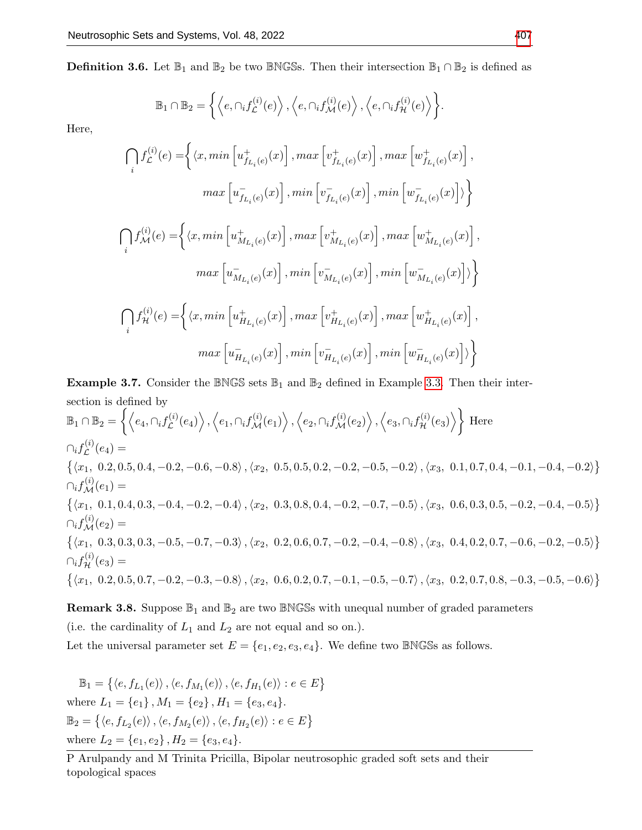**Definition 3.6.** Let  $\mathbb{B}_1$  and  $\mathbb{B}_2$  be two BNGSs. Then their intersection  $\mathbb{B}_1 \cap \mathbb{B}_2$  is defined as

$$
\mathbb{B}_1 \cap \mathbb{B}_2 = \left\{ \left\langle e, \bigcap_i f_{\mathcal{L}}^{(i)}(e) \right\rangle, \left\langle e, \bigcap_i f_{\mathcal{M}}^{(i)}(e) \right\rangle, \left\langle e, \bigcap_i f_{\mathcal{H}}^{(i)}(e) \right\rangle \right\}.
$$

Here,

$$
\begin{split} \bigcap_i f_{\mathcal{L}}^{(i)}(e) =& \bigg\{ \langle x, \min\left[u_{f_{L_i}(e)}^+(x)\right], \max\left[v_{f_{L_i}(e)}^+(x)\right], \max\left[w_{f_{L_i}(e)}^+(x)\right], \\ \max\left[u_{f_{L_i}(e)}^-(x)\right], \min\left[v_{f_{L_i}(e)}^-(x)\right], \min\left[w_{f_{L_i}(e)}^-(x)\right] \rangle \bigg\} \\ \bigcap_i f_{\mathcal{M}}^{(i)}(e) =& \bigg\{ \langle x, \min\left[u_{M_{L_i}(e)}^+(x)\right], \max\left[v_{M_{L_i}(e)}^+(x)\right], \max\left[w_{M_{L_i}(e)}^+(x)\right], \right. \\ \max\left[u_{M_{L_i}(e)}^-(x)\right], \min\left[v_{M_{L_i}(e)}^-(x)\right], \min\left[w_{M_{L_i}(e)}^-(x)\right] \rangle \bigg\} \\ \bigcap_i f_{\mathcal{H}}^{(i)}(e) =& \bigg\{ \langle x, \min\left[u_{H_{L_i}(e)}^+(x)\right], \max\left[v_{H_{L_i}(e)}^+(x)\right], \max\left[w_{H_{L_i}(e)}^+(x)\right], \right. \\ \max\left[u_{H_{L_i}(e)}^-(x)\right], \min\left[v_{H_{L_i}(e)}^-(x)\right], \min\left[w_{H_{L_i}(e)}^-(x)\right] \rangle \bigg\} \end{split}
$$

**Example 3.7.** Consider the BNGS sets  $\mathbb{B}_1$  and  $\mathbb{B}_2$  defined in Example [3.3.](#page-6-0) Then their intersection is defined by

 $\mathbb{B}_1\cap\mathbb{B}_2=\Big\{\Big\langle e_4,\cap_i f_{\mathcal{L}}^{(i)}\Big\vert$  $\left\langle \begin{matrix} \mathcal{L}^{(i)}(e_4) \end{matrix} \right\rangle, \left\langle e_1, \cap_i f_\mathcal{M}^{(i)}(e_1) \right\rangle, \left\langle e_2, \cap_i f_\mathcal{M}^{(i)}(e_2) \right\rangle, \left\langle e_3, \cap_i f_\mathcal{H}^{(i)}(e_3) \right\rangle \right\} \text{ Here}$  $\cap_i f^{(i)}_{\mathcal{L}}$  $\mathcal{L}^{(i)}(e_4) =$  $\{\langle x_1, 0.2, 0.5, 0.4, -0.2, -0.6, -0.8\rangle, \langle x_2, 0.5, 0.5, 0.2, -0.2, -0.5, -0.2\rangle, \langle x_3, 0.1, 0.7, 0.4, -0.1, -0.4, -0.2\rangle\}$  $\cap_i f_{\mathcal{M}}^{(i)}(e_1) =$  $\{\langle x_1, 0.1, 0.4, 0.3, -0.4, -0.2, -0.4\rangle, \langle x_2, 0.3, 0.8, 0.4, -0.2, -0.7, -0.5\rangle, \langle x_3, 0.6, 0.3, 0.5, -0.2, -0.4, -0.5\rangle\}$  $\cap_i f_{\mathcal{M}}^{(i)}(e_2) =$  $\{\langle x_1, 0.3, 0.3, 0.3, -0.5, -0.7, -0.3\rangle, \langle x_2, 0.2, 0.6, 0.7, -0.2, -0.4, -0.8\rangle, \langle x_3, 0.4, 0.2, 0.7, -0.6, -0.2, -0.5\rangle\}$  $\cap_i f_{\mathcal{H}}^{(i)}(e_3) =$  $\{\langle x_1, 0.2, 0.5, 0.7, -0.2, -0.3, -0.8\rangle, \langle x_2, 0.6, 0.2, 0.7, -0.1, -0.5, -0.7\rangle, \langle x_3, 0.2, 0.7, 0.8, -0.3, -0.5, -0.6\rangle\}$ 

**Remark 3.8.** Suppose  $\mathbb{B}_1$  and  $\mathbb{B}_2$  are two BNGSs with unequal number of graded parameters (i.e. the cardinality of  $L_1$  and  $L_2$  are not equal and so on.). Let the universal parameter set  $E = \{e_1, e_2, e_3, e_4\}$ . We define two BNGSs as follows.

 $\mathbb{B}_1 = \{ \langle e, f_{L_1}(e) \rangle, \langle e, f_{M_1}(e) \rangle, \langle e, f_{H_1}(e) \rangle : e \in E \}$ where  $L_1 = \{e_1\}$ ,  $M_1 = \{e_2\}$ ,  $H_1 = \{e_3, e_4\}$ .  $\mathbb{B}_2 = \{ \langle e, f_{L_2}(e) \rangle, \langle e, f_{M_2}(e) \rangle, \langle e, f_{H_2}(e) \rangle : e \in E \}$ where  $L_2 = \{e_1, e_2\}$ ,  $H_2 = \{e_3, e_4\}$ .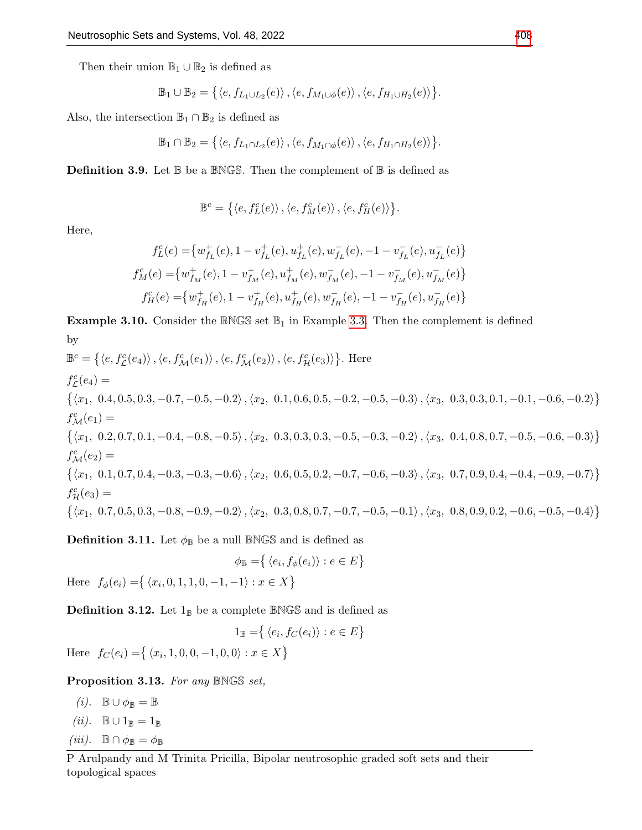Then their union  $\mathbb{B}_1 \cup \mathbb{B}_2$  is defined as

$$
\mathbb{B}_1 \cup \mathbb{B}_2 = \left\{ \langle e, f_{L_1 \cup L_2}(e) \rangle, \langle e, f_{M_1 \cup \phi}(e) \rangle, \langle e, f_{H_1 \cup H_2}(e) \rangle \right\}.
$$

Also, the intersection  $\mathbb{B}_1 \cap \mathbb{B}_2$  is defined as

$$
\mathbb{B}_1\cap\mathbb{B}_2=\left\{\left\langle e,f_{L_1\cap L_2}(e)\right\rangle,\left\langle e,f_{M_1\cap\phi}(e)\right\rangle,\left\langle e,f_{H_1\cap H_2}(e)\right\rangle\right\}.
$$

**Definition 3.9.** Let  $\mathbb{B}$  be a  $\mathbb{BNGS}$ . Then the complement of  $\mathbb{B}$  is defined as

$$
\mathbb{B}^c = \left\{ \langle e, f_L^c(e) \rangle, \langle e, f_M^c(e) \rangle, \langle e, f_H^c(e) \rangle \right\}.
$$

Here,

$$
\begin{split} f^c_L(e)=&\big\{w_{f_L}^+(e),1-v_{f_L}^+(e),u_{f_L}^+(e),w_{f_L}^-(e),-1-v_{f_L}^-(e),u_{f_L}^-(e)\big\}\\ f^c_M(e)=&\big\{w_{f_M}^+(e),1-v_{f_M}^+(e),u_{f_M}^+(e),w_{f_M}^-(e),-1-v_{f_M}^-(e),u_{f_M}^-(e)\big\}\\ f^c_H(e)=&\big\{w_{f_H}^+(e),1-v_{f_H}^+(e),u_{f_H}^+(e),w_{f_H}^-(e),-1-v_{f_H}^-(e),u_{f_H}^-(e)\big\} \end{split}
$$

**Example 3.10.** Consider the BNGS set  $\mathbb{B}_1$  in Example [3.3.](#page-6-0) Then the complement is defined by

$$
\mathbb{B}^{c} = \{ \langle e, f_{\mathcal{L}}^{c}(e_{4}) \rangle, \langle e, f_{\mathcal{M}}^{c}(e_{1}) \rangle, \langle e, f_{\mathcal{M}}^{c}(e_{2}) \rangle, \langle e, f_{\mathcal{H}}^{c}(e_{3}) \rangle \}.
$$
 Here  
\n
$$
f_{\mathcal{L}}^{c}(e_{4}) =
$$
\n
$$
\{ \langle x_{1}, 0.4, 0.5, 0.3, -0.7, -0.5, -0.2 \rangle, \langle x_{2}, 0.1, 0.6, 0.5, -0.2, -0.5, -0.3 \rangle, \langle x_{3}, 0.3, 0.3, 0.1, -0.1, -0.6, -0.2 \rangle \}
$$
\n
$$
f_{\mathcal{M}}^{c}(e_{1}) =
$$
\n
$$
\{ \langle x_{1}, 0.2, 0.7, 0.1, -0.4, -0.8, -0.5 \rangle, \langle x_{2}, 0.3, 0.3, 0.3, -0.5, -0.3, -0.2 \rangle, \langle x_{3}, 0.4, 0.8, 0.7, -0.5, -0.6, -0.3 \rangle \}
$$
\n
$$
f_{\mathcal{M}}^{c}(e_{2}) =
$$
\n
$$
\{ \langle x_{1}, 0.1, 0.7, 0.4, -0.3, -0.3, -0.6 \rangle, \langle x_{2}, 0.6, 0.5, 0.2, -0.7, -0.6, -0.3 \rangle, \langle x_{3}, 0.7, 0.9, 0.4, -0.4, -0.9, -0.7 \rangle \}
$$
\n
$$
f_{\mathcal{H}}^{c}(e_{3}) =
$$
\n
$$
\{ \langle x_{1}, 0.7, 0.5, 0.3, -0.8, -0.9, -0.2 \rangle, \langle x_{2}, 0.3, 0.8, 0.7, -0.7, -0.5, -0.1 \rangle, \langle x_{3}, 0.8, 0.9, 0.2, -0.6, -0.5, -0.4 \rangle \}
$$

**Definition 3.11.** Let  $\phi_{\mathbb{B}}$  be a null  $\mathbb{BNGS}$  and is defined as

$$
\phi_{\mathbb{B}} = \{ \langle e_i, f_{\phi}(e_i) \rangle : e \in E \}
$$
  
Here  $f_{\phi}(e_i) = \{ \langle x_i, 0, 1, 1, 0, -1, -1 \rangle : x \in X \}$ 

**Definition 3.12.** Let  $1_{\mathbb{B}}$  be a complete  $\mathbb{BNGS}$  and is defined as

$$
1_{\mathbb{B}} = \{ \langle e_i, f_C(e_i) \rangle : e \in E \}
$$
  
Here  $f_C(e_i) = \{ \langle x_i, 1, 0, 0, -1, 0, 0 \rangle : x \in X \}$ 

Proposition 3.13. For any BNGS set,

(*i*).  $\mathbb{B} \cup \phi_{\mathbb{B}} = \mathbb{B}$ (ii).  $\mathbb{B} \cup 1_{\mathbb{B}} = 1_{\mathbb{B}}$ (iii).  $\mathbb{B} \cap \phi_{\mathbb{B}} = \phi_{\mathbb{B}}$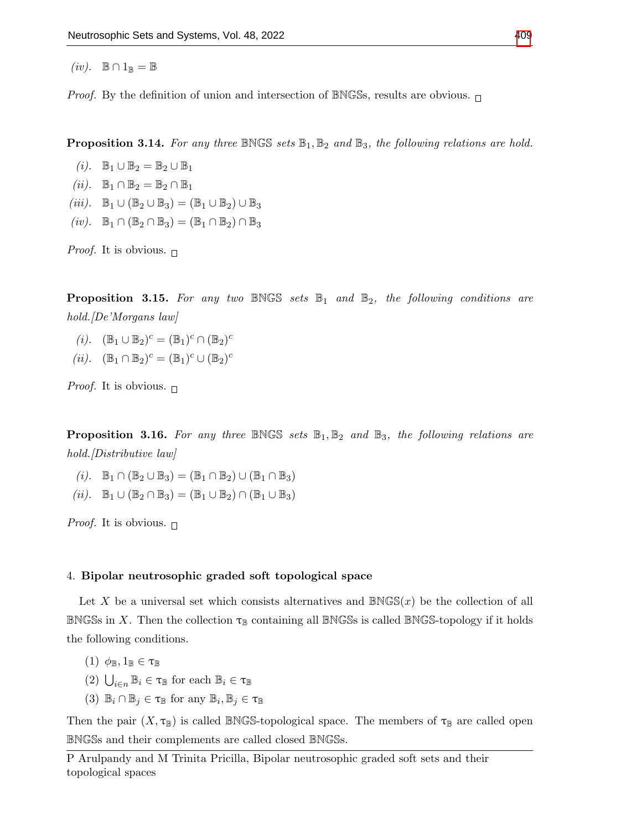$(iv)$ .  $\mathbb{B} \cap 1_{\mathbb{B}} = \mathbb{B}$ 

*Proof.* By the definition of union and intersection of BNGSs, results are obvious.  $\Box$ 

**Proposition 3.14.** For any three BNGS sets  $\mathbb{B}_1, \mathbb{B}_2$  and  $\mathbb{B}_3$ , the following relations are hold.

- (i).  $\mathbb{B}_1 \cup \mathbb{B}_2 = \mathbb{B}_2 \cup \mathbb{B}_1$
- (ii).  $\mathbb{B}_1 \cap \mathbb{B}_2 = \mathbb{B}_2 \cap \mathbb{B}_1$
- (iii).  $\mathbb{B}_1 \cup (\mathbb{B}_2 \cup \mathbb{B}_3) = (\mathbb{B}_1 \cup \mathbb{B}_2) \cup \mathbb{B}_3$
- $(iv). \quad \mathbb{B}_1 \cap (\mathbb{B}_2 \cap \mathbb{B}_3) = (\mathbb{B}_1 \cap \mathbb{B}_2) \cap \mathbb{B}_3$

*Proof.* It is obvious.  $\Box$ 

**Proposition 3.15.** For any two BNGS sets  $\mathbb{B}_1$  and  $\mathbb{B}_2$ , the following conditions are hold. *De'Morgans law* 

- (*i*).  $(\mathbb{B}_1 \cup \mathbb{B}_2)^c = (\mathbb{B}_1)^c \cap (\mathbb{B}_2)^c$
- (ii).  $(\mathbb{B}_1 \cap \mathbb{B}_2)^c = (\mathbb{B}_1)^c \cup (\mathbb{B}_2)^c$

*Proof.* It is obvious.  $\Box$ 

**Proposition 3.16.** For any three BNGS sets  $\mathbb{B}_1$ ,  $\mathbb{B}_2$  and  $\mathbb{B}_3$ , the following relations are hold.*[Distributive law]* 

- (i).  $\mathbb{B}_1 \cap (\mathbb{B}_2 \cup \mathbb{B}_3) = (\mathbb{B}_1 \cap \mathbb{B}_2) \cup (\mathbb{B}_1 \cap \mathbb{B}_3)$
- (ii).  $\mathbb{B}_1 \cup (\mathbb{B}_2 \cap \mathbb{B}_3) = (\mathbb{B}_1 \cup \mathbb{B}_2) \cap (\mathbb{B}_1 \cup \mathbb{B}_3)$

*Proof.* It is obvious.  $\Box$ 

## 4. Bipolar neutrosophic graded soft topological space

Let X be a universal set which consists alternatives and  $\mathbb{BNGS}(x)$  be the collection of all BNGSs in X. Then the collection  $\tau_{\mathbb{B}}$  containing all BNGSs is called BNGS-topology if it holds the following conditions.

- $(1)$   $\phi_{\mathbb{B}}, 1_{\mathbb{B}} \in \tau_{\mathbb{B}}$
- (2)  $\bigcup_{i\in n} \mathbb{B}_i \in \tau_{\mathbb{B}}$  for each  $\mathbb{B}_i \in \tau_{\mathbb{B}}$
- (3)  $\mathbb{B}_i \cap \mathbb{B}_j \in \tau_{\mathbb{B}}$  for any  $\mathbb{B}_i, \mathbb{B}_j \in \tau_{\mathbb{B}}$

Then the pair  $(X, \tau_{\mathbb{B}})$  is called BNGS-topological space. The members of  $\tau_{\mathbb{B}}$  are called open BNGSs and their complements are called closed BNGSs.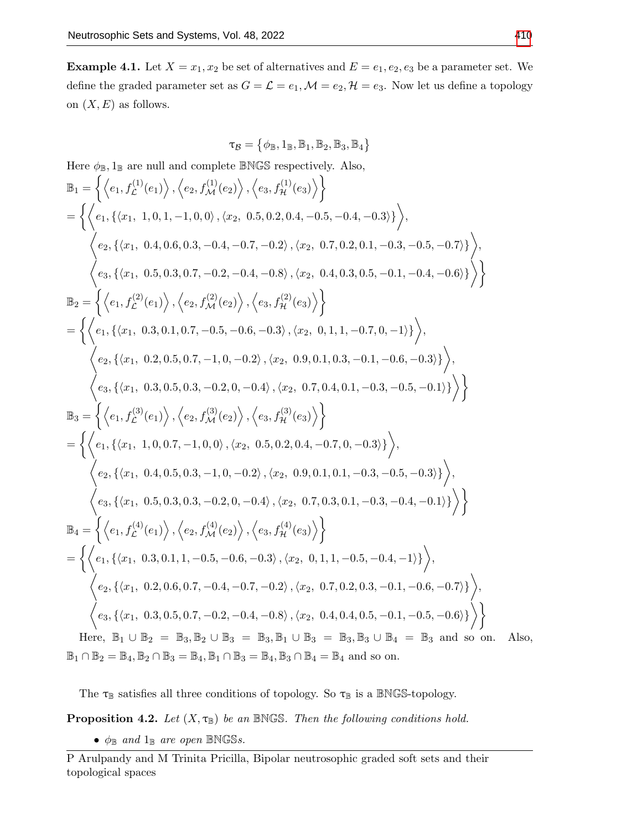**Example 4.1.** Let  $X = x_1, x_2$  be set of alternatives and  $E = e_1, e_2, e_3$  be a parameter set. We define the graded parameter set as  $G = \mathcal{L} = e_1, \mathcal{M} = e_2, \mathcal{H} = e_3$ . Now let us define a topology on  $(X, E)$  as follows.

$$
\tau_{\mathcal{B}} = \left\{\phi_{\mathbb{B}}, 1_{\mathbb{B}}, \mathbb{B}_1, \mathbb{B}_2, \mathbb{B}_3, \mathbb{B}_4\right\}
$$

Here  $\phi_{\mathbb{B}}, 1_{\mathbb{B}}$  are null and complete  $\mathbb{BNGS}$  respectively. Also,

$$
\mathbb{B}_{1} = \left\{ \left\langle e_{1}, f_{L}^{(1)}(e_{1}) \right\rangle, \left\langle e_{2}, f_{\mathcal{M}}^{(1)}(e_{2}) \right\rangle, \left\langle e_{3}, f_{\mathcal{H}}^{(1)}(e_{3}) \right\rangle \right\} \n= \left\{ \left\langle e_{1}, \left\{ \langle x_{1}, 1, 0, 1, -1, 0, 0 \right\rangle, \langle x_{2}, 0.5, 0.2, 0.4, -0.5, -0.4, -0.3 \rangle \right\rangle \right\}, \n\left\langle e_{2}, \left\{ \langle x_{1}, 0.4, 0.6, 0.3, -0.4, -0.7, -0.2 \right\rangle, \langle x_{2}, 0.7, 0.2, 0.1, -0.3, -0.5, -0.7 \rangle \right\rangle \right\rangle, \n\mathbb{B}_{2} = \left\{ \left\langle e_{1}, f_{L}^{(2)}(e_{1}) \right\rangle, \left\langle e_{2}, f_{\mathcal{M}}^{(2)}(e_{2}) \right\rangle, \left\langle e_{3}, f_{\mathcal{H}}^{(2)}(e_{3}) \right\rangle \right\} \n= \left\{ \left\langle e_{1}, \left\{ \langle x_{1}, 0.3, 0.1, 0.7, -0.5, -0.6, -0.3 \right\rangle, \langle x_{2}, 0.4, 0.3, 0.5, -0.1, -0.4, -0.6 \rangle \right\rangle \right\rangle \right\} \n\left\langle e_{2}, \left\{ \langle x_{1}, 0.2, 0.5, 0.7, -1, 0, -0.2 \right\rangle, \langle x_{2}, 0.9, 0.1, 0.3, -0.1, -0.6, -0.3 \rangle \right\rangle \right\rangle, \n\left\langle e_{3}, \left\{ \langle x_{1}, 0.3, 0.5, 0.3, -0.2, 0, -0.4 \right\rangle, \langle x_{2}, 0.7, 0.4, 0.1, -0.3, -0.5, -0.1 \rangle \right\rangle \right\rangle \right\rangle \n\mathbb{B}_{3} = \left\{ \left\langle e_{1}, f_{L}^{(3)}(e_{1}) \right\rangle, \left
$$

The  $\tau_{\mathbb{B}}$  satisfies all three conditions of topology. So  $\tau_{\mathbb{B}}$  is a  $\mathbb{BNGS}\text{-topology.}$ 

**Proposition 4.2.** Let  $(X, \tau_{\mathbb{B}})$  be an BNGS. Then the following conditions hold.

•  $\phi_{\mathbb{B}}$  and  $1_{\mathbb{B}}$  are open  $\mathbb{BNGS}s$ .

P Arulpandy and M Trinita Pricilla, Bipolar neutrosophic graded soft sets and their topological spaces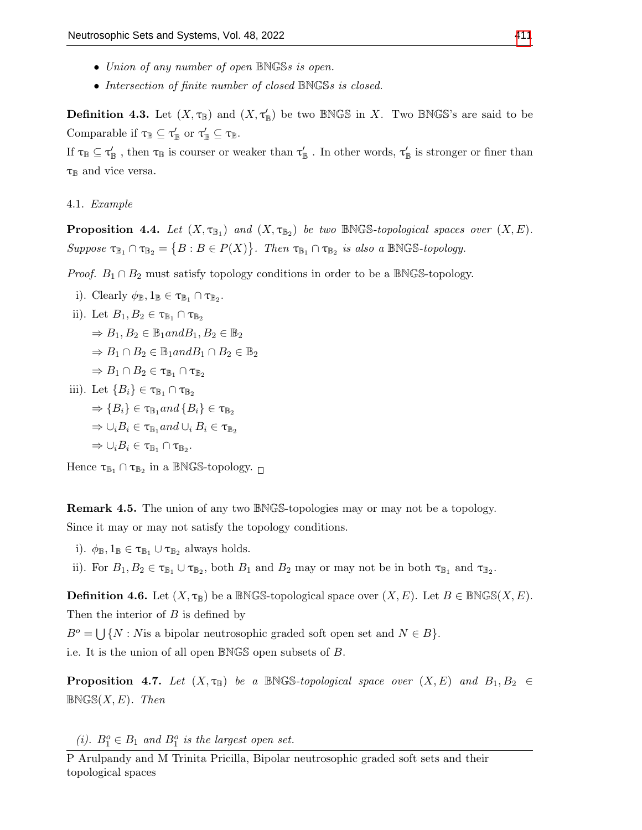- Union of any number of open BNGSs is open.
- Intersection of finite number of closed BNGSs is closed.

**Definition 4.3.** Let  $(X, \tau_{\mathbb{B}})$  and  $(X, \tau_{\mathbb{B}}')$  be two BNGS in X. Two BNGS's are said to be Comparable if  $\tau_{\mathbb{B}} \subseteq \tau'_{\mathbb{B}}$  or  $\tau'_{\mathbb{B}} \subseteq \tau_{\mathbb{B}}$ .

If  $\tau_{\mathbb{B}} \subseteq \tau'_{\mathbb{B}}$  , then  $\tau_{\mathbb{B}}$  is courser or weaker than  $\tau'_{\mathbb{B}}$  . In other words,  $\tau'_{\mathbb{B}}$  is stronger or finer than  $\tau_{\mathbb{B}}$  and vice versa.

4.1. Example

**Proposition 4.4.** Let  $(X, \tau_{\mathbb{B}_1})$  and  $(X, \tau_{\mathbb{B}_2})$  be two BNGS-topological spaces over  $(X, E)$ . Suppose  $\tau_{\mathbb{B}_1} \cap \tau_{\mathbb{B}_2} = \{B : B \in P(X)\}\$ . Then  $\tau_{\mathbb{B}_1} \cap \tau_{\mathbb{B}_2}$  is also a BNGS-topology.

*Proof.*  $B_1 \cap B_2$  must satisfy topology conditions in order to be a BNGS-topology.

i). Clearly  $\phi_{\mathbb{B}}$ ,  $1_{\mathbb{B}} \in \tau_{\mathbb{B}_1} \cap \tau_{\mathbb{B}_2}$ .

ii). Let 
$$
B_1, B_2 \in \tau_{\mathbb{B}_1} \cap \tau_{\mathbb{B}_2}
$$

 $\Rightarrow$   $B_1, B_2 \in \mathbb{B}_1$  and  $B_1, B_2 \in \mathbb{B}_2$ 

 $\Rightarrow B_1 \cap B_2 \in \mathbb{B}_1$ and $B_1 \cap B_2 \in \mathbb{B}_2$ 

$$
\Rightarrow B_1 \cap B_2 \in \tau_{\mathbb{B}_1} \cap \tau_{\mathbb{B}_2}
$$

iii). Let  ${B_i} \in {\tau_{\mathbb{B}_1} \cap \tau_{\mathbb{B}_2}}$  $\Rightarrow$  { $B_i$ }  $\in$   $\tau_{\mathbb{B}_1}$  and { $B_i$ }  $\in$   $\tau_{\mathbb{B}_2}$  $\Rightarrow \cup_i B_i \in \tau_{\mathbb{B}_1}$  and  $\cup_i B_i \in \tau_{\mathbb{B}_2}$  $\Rightarrow \cup_i B_i \in \tau_{\mathbb{B}_1} \cap \tau_{\mathbb{B}_2}.$ 

Hence  $\tau_{\mathbb{B}_1} \cap \tau_{\mathbb{B}_2}$  in a BNGS-topology.

Remark 4.5. The union of any two BNGS-topologies may or may not be a topology. Since it may or may not satisfy the topology conditions.

- i).  $\phi_{\mathbb{B}}, 1_{\mathbb{B}} \in \tau_{\mathbb{B}_1} \cup \tau_{\mathbb{B}_2}$  always holds.
- ii). For  $B_1, B_2 \in \tau_{\mathbb{B}_1} \cup \tau_{\mathbb{B}_2}$ , both  $B_1$  and  $B_2$  may or may not be in both  $\tau_{\mathbb{B}_1}$  and  $\tau_{\mathbb{B}_2}$ .

**Definition 4.6.** Let  $(X, \tau_{\mathbb{B}})$  be a BNGS-topological space over  $(X, E)$ . Let  $B \in B \text{NGS}(X, E)$ . Then the interior of  $B$  is defined by

 $B^o = \bigcup \{ N : N \text{ is a bipolar neutrosophic graded soft open set and } N \in B \}.$ i.e. It is the union of all open BNGS open subsets of B.

**Proposition 4.7.** Let  $(X, \tau_B)$  be a BNGS-topological space over  $(X, E)$  and  $B_1, B_2 \in$  $BNGS(X, E)$ . Then

(i).  $B_1^o \in B_1$  and  $B_1^o$  is the largest open set.

P Arulpandy and M Trinita Pricilla, Bipolar neutrosophic graded soft sets and their topological spaces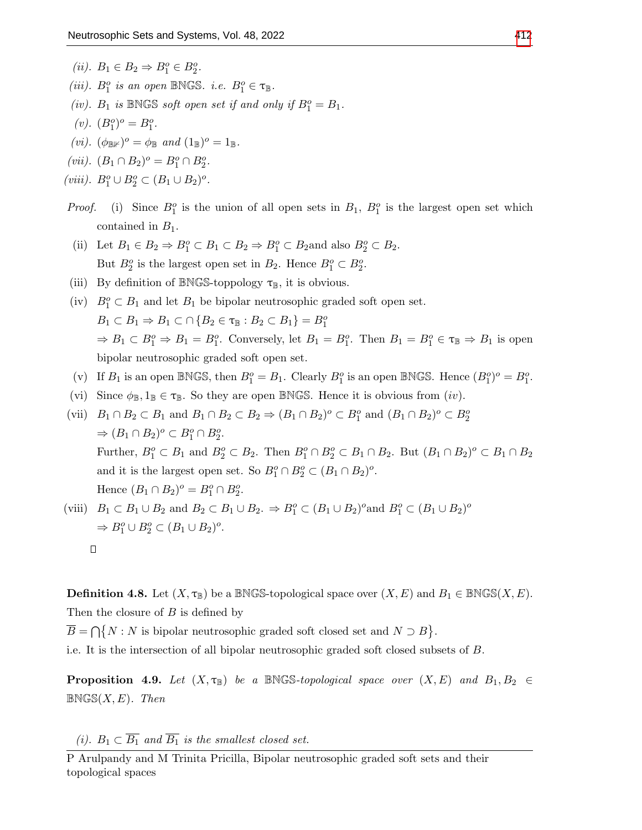- (*ii*).  $B_1 \in B_2 \Rightarrow B_1^o \in B_2^o$ .
- (iii).  $B_1^o$  is an open BNGS. i.e.  $B_1^o \in \tau_{\mathbb{B}}$ .
- (iv).  $B_1$  is BNGS soft open set if and only if  $B_1^o = B_1$ .
- (*v*).  $(B_1^o)^o = B_1^o$ .
- (vi).  $(\phi_{\mathbb{B}V})^o = \phi_{\mathbb{B}}$  and  $(1_{\mathbb{B}})^o = 1_{\mathbb{B}}$ .
- (vii).  $(B_1 \cap B_2)^o = B_1^o \cap B_2^o$ .
- (viii).  $B_1^o \cup B_2^o \subset (B_1 \cup B_2)^o$ .
- *Proof.* (i) Since  $B_1^o$  is the union of all open sets in  $B_1$ ,  $B_1^o$  is the largest open set which contained in  $B_1$ .
- (ii) Let  $B_1 \in B_2 \Rightarrow B_1^o \subset B_1 \subset B_2 \Rightarrow B_1^o \subset B_2$  and also  $B_2^o \subset B_2$ . But  $B_2^o$  is the largest open set in  $B_2$ . Hence  $B_1^o \subset B_2^o$ .
- (iii) By definition of BNGS-toppology  $\tau_{\mathbb{B}}$ , it is obvious.
- (iv)  $B_1^o \subset B_1$  and let  $B_1$  be bipolar neutrosophic graded soft open set.  $B_1 \subset B_1 \Rightarrow B_1 \subset \bigcap \{B_2 \in \tau_{\mathbb{B}} : B_2 \subset B_1\} = B_1^o$  $\Rightarrow B_1 \subset B_1^o \Rightarrow B_1 = B_1^o$ . Conversely, let  $B_1 = B_1^o$ . Then  $B_1 = B_1^o \in \tau_{\mathbb{B}} \Rightarrow B_1$  is open bipolar neutrosophic graded soft open set.
- (v) If  $B_1$  is an open BNGS, then  $B_1^o = B_1$ . Clearly  $B_1^o$  is an open BNGS. Hence  $(B_1^o)^o = B_1^o$ .
- (vi) Since  $\phi_{\mathbb{B}}, 1_{\mathbb{B}} \in \tau_{\mathbb{B}}$ . So they are open BNGS. Hence it is obvious from  $(iv)$ .
- (vii)  $B_1 \cap B_2 \subset B_1$  and  $B_1 \cap B_2 \subset B_2 \Rightarrow (B_1 \cap B_2)^o \subset B_1^o$  and  $(B_1 \cap B_2)^o \subset B_2^o$  $\Rightarrow (B_1 \cap B_2)^o \subset B_1^o \cap B_2^o.$ Further,  $B_1^o \subset B_1$  and  $B_2^o \subset B_2$ . Then  $B_1^o \cap B_2^o \subset B_1 \cap B_2$ . But  $(B_1 \cap B_2)^o \subset B_1 \cap B_2$ and it is the largest open set. So  $B_1^o \cap B_2^o \subset (B_1 \cap B_2)^o$ . Hence  $(B_1 \cap B_2)^o = B_1^o \cap B_2^o$ . (viii)  $B_1 \subset B_1 \cup B_2$  and  $B_2 \subset B_1 \cup B_2$ .  $\Rightarrow B_1^o \subset (B_1 \cup B_2)^o$  and  $B_1^o \subset (B_1 \cup B_2)^o$

$$
\begin{aligned} \text{(VIII)} \quad & \text{D}_1 \subset \text{D}_1 \cup \text{D}_2 \text{ and } \text{D}_2 \subset \text{D}_1 \cup \text{D}_2. \Rightarrow \text{D}_1 \subset (\text{D}_1 \cup \text{D}_2) \text{ and } \text{D}_1 \subset (\text{D}_1 \cup \text{D}_2) \end{aligned}
$$
\n
$$
\Rightarrow B_1^o \cup B_2^o \subset (B_1 \cup B_2)^o.
$$

**Definition 4.8.** Let  $(X, \tau_{\mathbb{B}})$  be a BNGS-topological space over  $(X, E)$  and  $B_1 \in \mathbb{BNGS}(X, E)$ . Then the closure of  $B$  is defined by

 $\overline{B} = \bigcap \{ N : N \text{ is bipolar neutrosophic graded soft closed set and } N \supset B \}.$ 

i.e. It is the intersection of all bipolar neutrosophic graded soft closed subsets of B.

**Proposition 4.9.** Let  $(X, \tau_B)$  be a BNGS-topological space over  $(X, E)$  and  $B_1, B_2 \in$  $BNGS(X, E)$ . Then

(i).  $B_1 \subset \overline{B_1}$  and  $\overline{B_1}$  is the smallest closed set.

P Arulpandy and M Trinita Pricilla, Bipolar neutrosophic graded soft sets and their topological spaces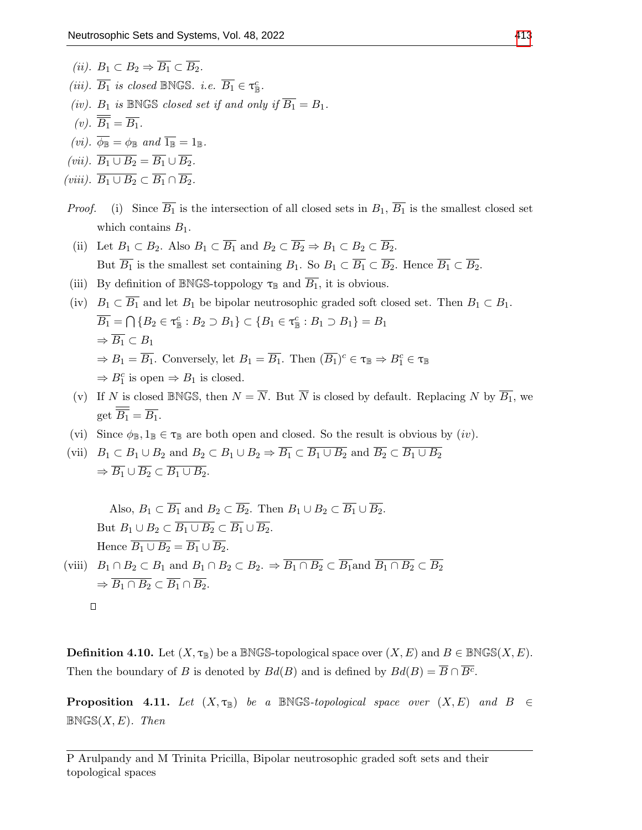(ii).  $B_1 \subset B_2 \Rightarrow \overline{B_1} \subset \overline{B_2}$ . (iii).  $\overline{B_1}$  is closed BNGS. i.e.  $\overline{B_1} \in \tau_{\mathbb{B}}^c$ . (iv).  $B_1$  is BNGS closed set if and only if  $\overline{B_1} = B_1$ . (v).  $\overline{\overline{B_1}} = \overline{B_1}$ . (*vi*).  $\overline{\phi_{\mathbb{B}}} = \phi_{\mathbb{B}}$  and  $\overline{1_{\mathbb{B}}} = 1_{\mathbb{B}}$ . (vii).  $\overline{B_1 \cup B_2} = \overline{B_1} \cup \overline{B_2}$ . (viii).  $\overline{B_1 \cup B_2} \subset \overline{B_1} \cap \overline{B_2}$ .

- *Proof.* (i) Since  $\overline{B_1}$  is the intersection of all closed sets in  $B_1$ ,  $\overline{B_1}$  is the smallest closed set which contains  $B_1$ .
- (ii) Let  $B_1 \subset B_2$ . Also  $B_1 \subset \overline{B_1}$  and  $B_2 \subset \overline{B_2} \Rightarrow B_1 \subset B_2 \subset \overline{B_2}$ . But  $\overline{B_1}$  is the smallest set containing  $B_1$ . So  $B_1 \subset \overline{B_1} \subset \overline{B_2}$ . Hence  $\overline{B_1} \subset \overline{B_2}$ .
- (iii) By definition of BNGS-toppology  $\tau_{\mathbb{B}}$  and  $\overline{B_1}$ , it is obvious.
- (iv)  $B_1 \subset \overline{B_1}$  and let  $B_1$  be bipolar neutrosophic graded soft closed set. Then  $B_1 \subset B_1$ .  $\overline{B_1} = \bigcap \{B_2 \in \tau_{\mathbb{R}}^c : B_2 \supset B_1\} \subset \{B_1 \in \tau_{\mathbb{R}}^c : B_1 \supset B_1\} = B_1$  $\Rightarrow$   $\overline{B_1} \subset B_1$  $\Rightarrow B_1 = \overline{B_1}$ . Conversely, let  $B_1 = \overline{B_1}$ . Then  $(\overline{B_1})^c \in \tau_{\mathbb{B}} \Rightarrow B_1^c \in \tau_{\mathbb{B}}$  $\Rightarrow B_1^c$  is open  $\Rightarrow B_1$  is closed.
- (v) If N is closed BNGS, then  $N = \overline{N}$ . But  $\overline{N}$  is closed by default. Replacing N by  $\overline{B_1}$ , we get  $\overline{B_1} = \overline{B_1}$ .
- (vi) Since  $\phi_{\mathbb{B}}$ ,  $1_{\mathbb{B}} \in \tau_{\mathbb{B}}$  are both open and closed. So the result is obvious by  $(iv)$ .
- (vii)  $B_1 \subset B_1 \cup B_2$  and  $B_2 \subset B_1 \cup B_2 \Rightarrow \overline{B_1} \subset \overline{B_1 \cup B_2}$  and  $\overline{B_2} \subset \overline{B_1 \cup B_2}$  $\Rightarrow \overline{B_1} \cup \overline{B_2} \subset \overline{B_1 \cup B_2}.$

Also,  $B_1 \subset \overline{B_1}$  and  $B_2 \subset \overline{B_2}$ . Then  $B_1 \cup B_2 \subset \overline{B_1} \cup \overline{B_2}$ . But  $B_1 \cup B_2 \subset \overline{B_1 \cup B_2} \subset \overline{B_1} \cup \overline{B_2}$ . Hence  $\overline{B_1 \cup B_2} = \overline{B_1} \cup \overline{B_2}$ . (viii)  $B_1 \cap B_2 \subset B_1$  and  $B_1 \cap B_2 \subset B_2$ .  $\Rightarrow \overline{B_1 \cap B_2} \subset \overline{B_1}$  and  $\overline{B_1 \cap B_2} \subset \overline{B_2}$  $\Rightarrow \overline{B_1 \cap B_2} \subset \overline{B_1} \cap \overline{B_2}.$  $\Box$ 

**Definition 4.10.** Let  $(X, \tau_{\mathbb{B}})$  be a BNGS-topological space over  $(X, E)$  and  $B \in \mathbb{BNGS}(X, E)$ . Then the boundary of B is denoted by  $Bd(B)$  and is defined by  $Bd(B) = \overline{B} \cap \overline{B^c}$ .

**Proposition 4.11.** Let  $(X, \tau_B)$  be a BNGS-topological space over  $(X, E)$  and  $B \in$  $BNGS(X, E)$ . Then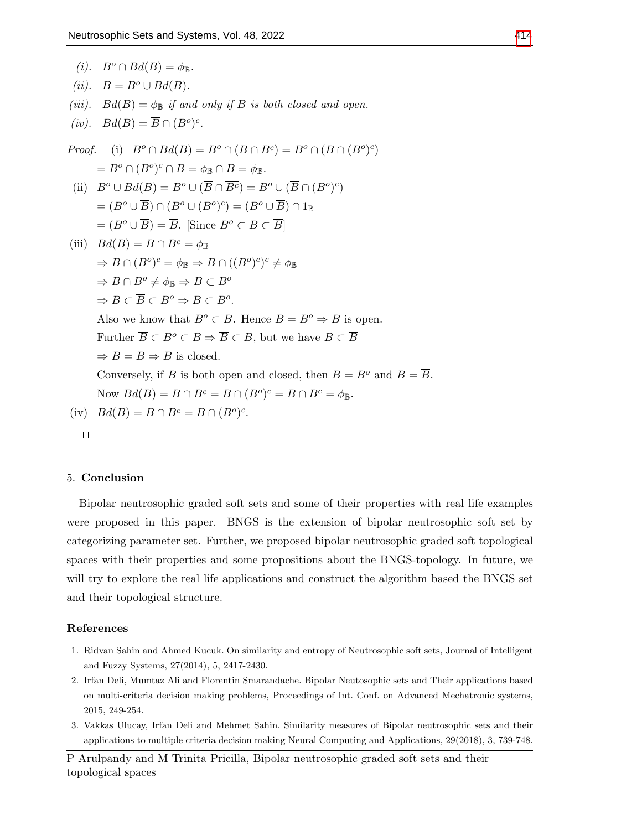(i). 
$$
B^o \cap Bd(B) = \phi_{\mathbb{B}}
$$
.  
\n(ii).  $\overline{B} = B^o \cup Bd(B)$ .  
\n(iii).  $Bd(B) = \phi_{\mathbb{B}}$  if and only if B is both closed and open.  
\n(iv).  $Bd(B) = \overline{B} \cap (B^o)^c$ .  
\nProof. (i)  $B^o \cap Bd(B) = B^o \cap (\overline{B} \cap \overline{B^c}) = B^o \cap (\overline{B} \cap (B^o)^c)$   
\n $= B^o \cap (B^o)^c \cap \overline{B} = \phi_{\mathbb{B}} \cap \overline{B} = \phi_{\mathbb{B}}$ .  
\n(ii)  $B^o \cup Bd(B) = B^o \cup (\overline{B} \cap \overline{B^c}) = B^o \cup (\overline{B} \cap (B^o)^c)$   
\n $= (B^o \cup \overline{B}) \cap (B^o \cup (B^o)^c) = (B^o \cup \overline{B}) \cap 1_{\mathbb{B}}$   
\n $= (B^o \cup \overline{B}) = \overline{B}$ . [Since  $B^o \subset B \subset \overline{B}$ ]  
\n(iii)  $Bd(B) = \overline{B} \cap \overline{B^c} = \phi_{\mathbb{B}}$   
\n $\Rightarrow \overline{B} \cap (B^o)^c = \phi_{\mathbb{B}} \Rightarrow \overline{B} \cap ((B^o)^c)^c \neq \phi_{\mathbb{B}}$   
\n $\Rightarrow \overline{B} \cap B^o \neq \phi_{\mathbb{B}} \Rightarrow \overline{B} \subset B^o$ .  
\nAlso we know that  $B^o \subset B$ . Hence  $B = B^o \Rightarrow B$  is open.  
\nFurther  $\overline{B} \subset B^o \subset B \Rightarrow \overline{B} \subset B$ , but we have  $B \subset \overline{B}$   
\n $\Rightarrow B = \overline{B} \Rightarrow B$  is closed.  
\nConversely, if B is both open and closed, then  $B = B^o$  and  $B = \overline{B}$ .  
\nNow  $Bd(B) = \overline{B} \cap \overline{B^c} = \overline{B} \cap (B^o)^c = B \cap B^c = \phi_{\mathbb{B}}$ .  
\

### 5. Conclusion

Bipolar neutrosophic graded soft sets and some of their properties with real life examples were proposed in this paper. BNGS is the extension of bipolar neutrosophic soft set by categorizing parameter set. Further, we proposed bipolar neutrosophic graded soft topological spaces with their properties and some propositions about the BNGS-topology. In future, we will try to explore the real life applications and construct the algorithm based the BNGS set and their topological structure.

## References

- <span id="page-15-2"></span>1. Ridvan Sahin and Ahmed Kucuk. On similarity and entropy of Neutrosophic soft sets, Journal of Intelligent and Fuzzy Systems, 27(2014), 5, 2417-2430.
- <span id="page-15-0"></span>2. Irfan Deli, Mumtaz Ali and Florentin Smarandache. Bipolar Neutosophic sets and Their applications based on multi-criteria decision making problems, Proceedings of Int. Conf. on Advanced Mechatronic systems, 2015, 249-254.
- <span id="page-15-1"></span>3. Vakkas Ulucay, Irfan Deli and Mehmet Sahin. Similarity measures of Bipolar neutrosophic sets and their applications to multiple criteria decision making Neural Computing and Applications, 29(2018), 3, 739-748.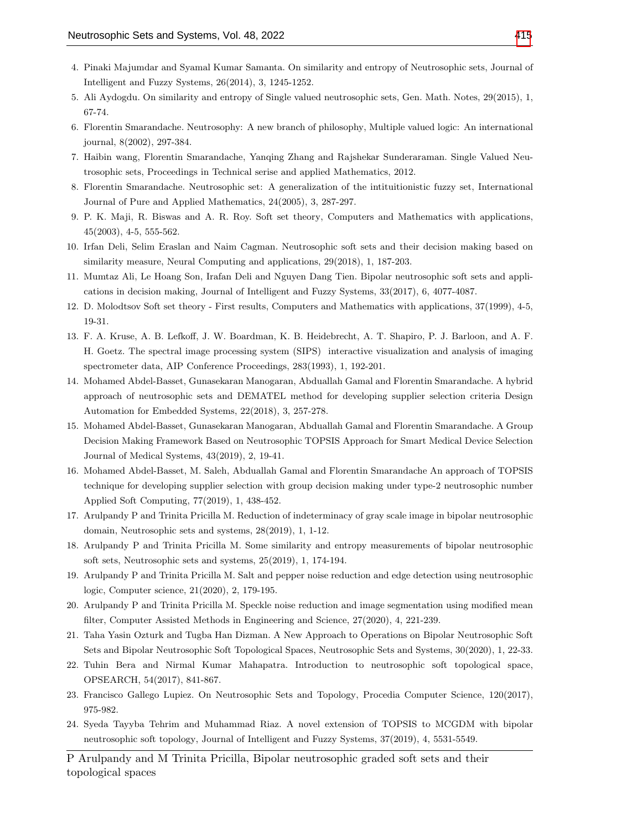- <span id="page-16-3"></span>4. Pinaki Majumdar and Syamal Kumar Samanta. On similarity and entropy of Neutrosophic sets, Journal of Intelligent and Fuzzy Systems, 26(2014), 3, 1245-1252.
- <span id="page-16-4"></span>5. Ali Aydogdu. On similarity and entropy of Single valued neutrosophic sets, Gen. Math. Notes, 29(2015), 1, 67-74.
- <span id="page-16-0"></span>6. Florentin Smarandache. Neutrosophy: A new branch of philosophy, Multiple valued logic: An international journal, 8(2002), 297-384.
- <span id="page-16-2"></span>7. Haibin wang, Florentin Smarandache, Yanqing Zhang and Rajshekar Sunderaraman. Single Valued Neutrosophic sets, Proceedings in Technical serise and applied Mathematics, 2012.
- <span id="page-16-1"></span>8. Florentin Smarandache. Neutrosophic set: A generalization of the intituitionistic fuzzy set, International Journal of Pure and Applied Mathematics, 24(2005), 3, 287-297.
- <span id="page-16-15"></span>9. P. K. Maji, R. Biswas and A. R. Roy. Soft set theory, Computers and Mathematics with applications, 45(2003), 4-5, 555-562.
- <span id="page-16-16"></span>10. Irfan Deli, Selim Eraslan and Naim Cagman. Neutrosophic soft sets and their decision making based on similarity measure, Neural Computing and applications, 29(2018), 1, 187-203.
- <span id="page-16-9"></span>11. Mumtaz Ali, Le Hoang Son, Irafan Deli and Nguyen Dang Tien. Bipolar neutrosophic soft sets and applications in decision making, Journal of Intelligent and Fuzzy Systems, 33(2017), 6, 4077-4087.
- <span id="page-16-8"></span>12. D. Molodtsov Soft set theory - First results, Computers and Mathematics with applications, 37(1999), 4-5, 19-31.
- 13. F. A. Kruse, A. B. Lefkoff, J. W. Boardman, K. B. Heidebrecht, A. T. Shapiro, P. J. Barloon, and A. F. H. Goetz. The spectral image processing system (SIPS) interactive visualization and analysis of imaging spectrometer data, AIP Conference Proceedings, 283(1993), 1, 192-201.
- <span id="page-16-13"></span>14. Mohamed Abdel-Basset, Gunasekaran Manogaran, Abduallah Gamal and Florentin Smarandache. A hybrid approach of neutrosophic sets and DEMATEL method for developing supplier selection criteria Design Automation for Embedded Systems, 22(2018), 3, 257-278.
- 15. Mohamed Abdel-Basset, Gunasekaran Manogaran, Abduallah Gamal and Florentin Smarandache. A Group Decision Making Framework Based on Neutrosophic TOPSIS Approach for Smart Medical Device Selection Journal of Medical Systems, 43(2019), 2, 19-41.
- 16. Mohamed Abdel-Basset, M. Saleh, Abduallah Gamal and Florentin Smarandache An approach of TOPSIS technique for developing supplier selection with group decision making under type-2 neutrosophic number Applied Soft Computing, 77(2019), 1, 438-452.
- <span id="page-16-12"></span>17. Arulpandy P and Trinita Pricilla M. Reduction of indeterminacy of gray scale image in bipolar neutrosophic domain, Neutrosophic sets and systems, 28(2019), 1, 1-12.
- <span id="page-16-10"></span>18. Arulpandy P and Trinita Pricilla M. Some similarity and entropy measurements of bipolar neutrosophic soft sets, Neutrosophic sets and systems, 25(2019), 1, 174-194.
- 19. Arulpandy P and Trinita Pricilla M. Salt and pepper noise reduction and edge detection using neutrosophic logic, Computer science, 21(2020), 2, 179-195.
- <span id="page-16-14"></span>20. Arulpandy P and Trinita Pricilla M. Speckle noise reduction and image segmentation using modified mean filter, Computer Assisted Methods in Engineering and Science, 27(2020), 4, 221-239.
- <span id="page-16-11"></span>21. Taha Yasin Ozturk and Tugba Han Dizman. A New Approach to Operations on Bipolar Neutrosophic Soft Sets and Bipolar Neutrosophic Soft Topological Spaces, Neutrosophic Sets and Systems, 30(2020), 1, 22-33.
- <span id="page-16-6"></span>22. Tuhin Bera and Nirmal Kumar Mahapatra. Introduction to neutrosophic soft topological space, OPSEARCH, 54(2017), 841-867.
- <span id="page-16-5"></span>23. Francisco Gallego Lupiez. On Neutrosophic Sets and Topology, Procedia Computer Science, 120(2017), 975-982.
- <span id="page-16-7"></span>24. Syeda Tayyba Tehrim and Muhammad Riaz. A novel extension of TOPSIS to MCGDM with bipolar neutrosophic soft topology, Journal of Intelligent and Fuzzy Systems, 37(2019), 4, 5531-5549.